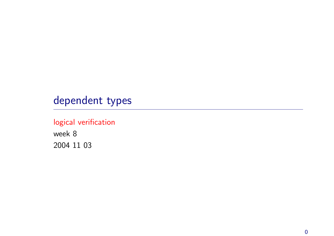# dependent types

### logical verification

week 8 2004 11 03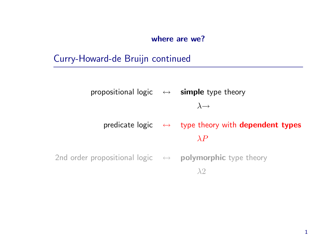#### where are we?

# Curry-Howard-de Bruijn continued

propositional logic  $\leftrightarrow$  simple type theory  $\lambda \rightarrow$ predicate logic  $\leftrightarrow$  type theory with dependent types  $\lambda P$ 2nd order propositional logic  $\leftrightarrow$  polymorphic type theory  $\lambda$ <sup>2</sup>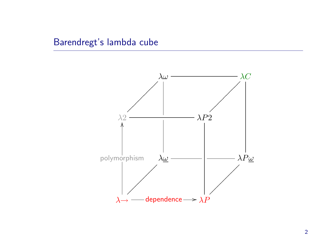### Barendregt's lambda cube

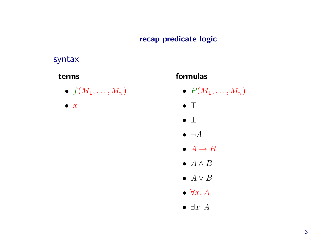### recap predicate logic

### syntax

#### terms

 $\bullet~~ f(M_1,\ldots,M_n)$ 

 $\bullet$  x

### formulas

- $\bullet \ \ P(M_1, \ldots, M_n)$
- $\bullet$   $\top$
- ⊥
- $\bullet\ \lnot A$
- $\bullet\; A \to B$
- $\bullet$   $A \land B$
- $\bullet\; A \vee B$
- $\bullet\;\forall x.\,A$
- $\bullet \ \exists x. A$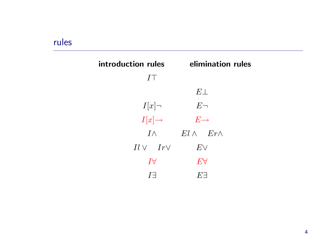### rules

| introduction rules | elimination rules     |
|--------------------|-----------------------|
| $I\top$            |                       |
|                    | $E\bot$               |
| $I[x] \neg$        | $E\neg$               |
| $I[x] \rightarrow$ | $E \rightarrow$       |
| $I\wedge$          | $El \wedge Er \wedge$ |
| $Il \vee Ir \vee$  | $E\vee$               |
| $\overline{I}$     | $E\forall$            |
|                    | $E^{\prime}$          |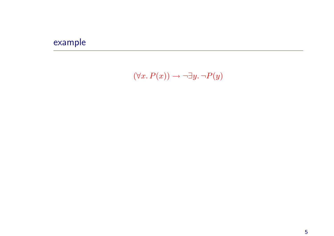# example

 $(\forall x. P(x)) \rightarrow \neg \exists y. \neg P(y)$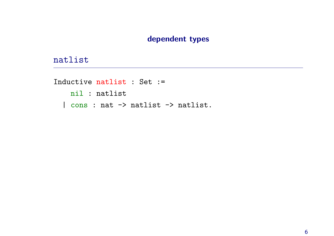### dependent types

### natlist

```
Inductive natlist : Set :=
   nil : natlist
  | cons : nat -> natlist -> natlist.
```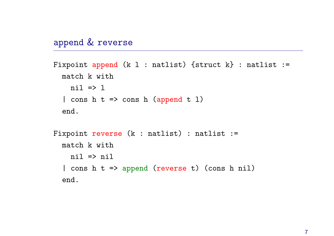### appen<sup>d</sup> & reverse

end.

```
Fixpoint append (k l : natlist) {struct k} : natlist :=
  match k with
    nil \Rightarrow l| cons h t => cons h (append t l)
  end.
Fixpoint reverse (k : natlist) : natlist :=
  match k with
    nil \Rightarrow nil
```
| cons <sup>h</sup> <sup>t</sup> => appen<sup>d</sup> (reverse t) (cons <sup>h</sup> nil)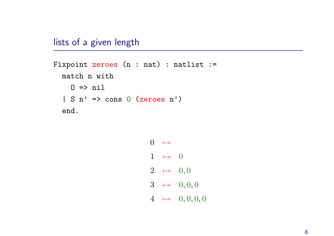lists of <sup>a</sup> given length

```
Fixpoint zeroes (n : nat) : natlist :=
  match n with
    0 \Rightarrow nil
  | S n' => cons 0 (zeroes n')
  end.
```

```
0 \rightarrow1 \mapsto 0
2 \rightarrow 0, 03 \rightarrow 0, 0, 04 \rightarrow 0, 0, 0, 0
```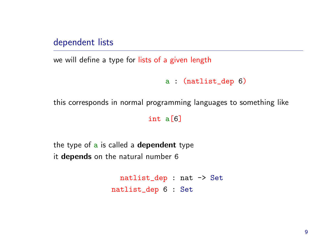dependent lists

we will define <sup>a</sup> type for lists of <sup>a</sup> given length

```
a : (natlist_dep 6)
```
this corresponds in normal programming languages to something like

int a[6]

the type of a is called a **dependent** type it depends on the natural number 6

> natlist\_dep : nat -> Set natlist\_dep 6 : Set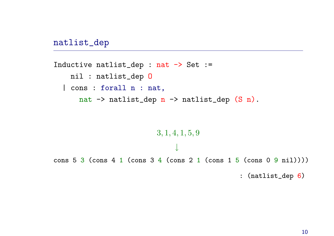natlist\_dep

```
Inductive natlist_dep : nat -> Set :=
    nil : natlist_dep O
  | cons : forall n : nat,
       nat \rightarrow natlist_dep n \rightarrow natlist_dep (S \n n).
```
3, 1, 4, 1, 5, 9 ↓ cons 5 3 (cons 4 1 (cons 3 4 (cons 2 1 (cons 1 5 (cons 0 9 nil)))) : (natlist\_dep 6)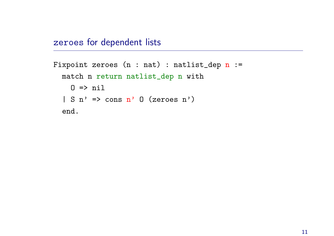### zeroes for dependent lists

```
Fixpoint zeroes (n : nat) : natlist-dep n :=match n return natlist_dep n with
    0 \Rightarrow nil
  | S n' => cons n' 0 (zeroes n')
  end.
```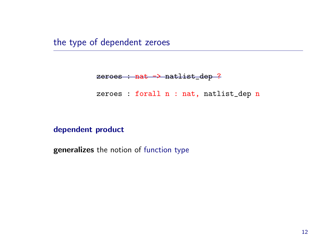the type of dependent zeroes

#### zeroes : nat -> natlist\_dep ?

zeroes : forall n : nat, natlist\_dep n

#### dependent product

generalizes the notion of function type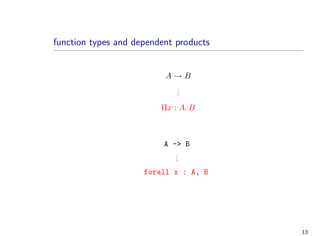# function types and dependent products

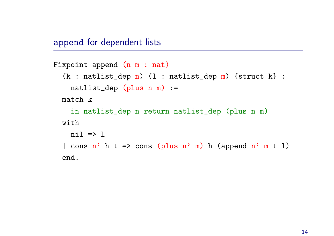appen<sup>d</sup> for dependent lists

```
Fixpoint append (n m : nat)
  (k : natlist-dep n) (1 : natlist_dep m) {struct k} :
    natlist_dep (plus n m) :=
  match k
    in natlist_dep n return natlist_dep (plus n m)
  with
    ni1 \implies l| cons n' h t => cons (plus n' m) h (append n' m t l)
  end.
```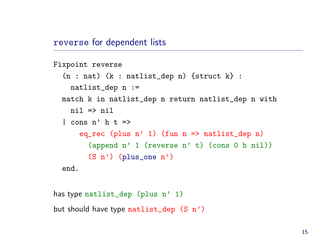reverse for dependent lists

```
Fixpoint reverse
  (n : nat) (k : natlist_dep n) \{struct k\}:
    natlist_dep n :=
  match k in natlist_dep n return natlist_dep n with
    ni1 \Rightarrow ni1\vert cons n' h t =>
      eq_rec (plus n' 1) (fun n \Rightarrow natlist_dep n)
         (append n' 1 (reverse n' t) (cons 0 h nil))
         (S n') (plus_one n')
  end.
```

```
has type natlist_dep (plus n' 1)
but should have type natlist_dep (S n')
```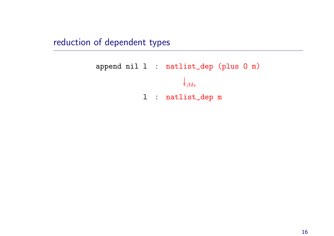reduction of dependent types

```
append nil l : natlist_dep (plus O m)
                          \downarrow<sub>βδι</sub>
              l : natlist_dep m
```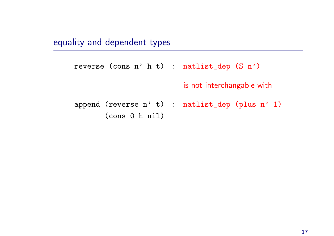equality and dependent types

```
reverse (cons n' h t) : natlist_dep (S n')
                          is not interchangable with
append (reverse n' t) : natlist_dep (plus n' 1)
       (cons 0 h nil)
```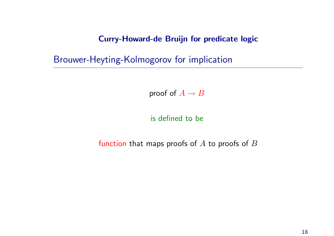### Curry-Howard-de Bruijn for predicate logic

Brouwer-Heyting-Kolmogorov for implication

proof of  $A \rightarrow B$ 

is defined to be

function that maps proofs of  $A$  to proofs of  $B$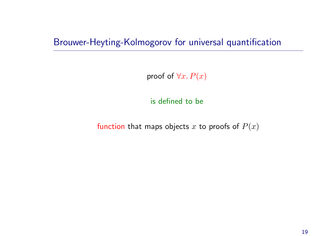Brouwer-Heyting-Kolmogorov for universal quantification

proof of  $\forall x. P(x)$ 

is defined to be

function that maps objects x to proofs of  $P(x)$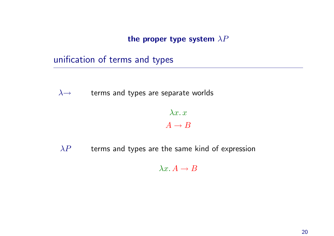the proper type system  $\lambda P$ 

unification of terms and types

 $\lambda \rightarrow$  terms and types are separate worlds

### $\lambda x \ldotp x$  $A \rightarrow B$

 $\lambda P$  terms and types are the same kind of expression

 $\lambda x. A \rightarrow B$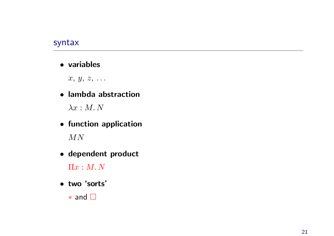### syntax

• variables

 $x, y, z, \ldots$ 

• lambda abstraction

 $\lambda x : M. N$ 

- function application  $MN$
- dependent product

 $\Pi x : M. \, N$ 

• t w <sup>o</sup> 'sorts'

\* and □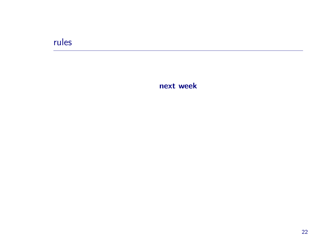### rules

next week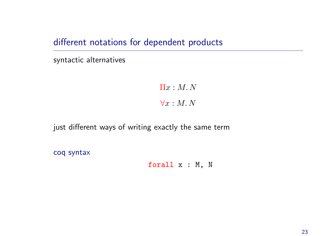different notations for dependent products

syntactic alternatives

 $\Pi x : M. N$ 

 $\forall x : M. N$ 

just different ways of writing exactly the same term

coq syntax

forall <sup>x</sup> : M, N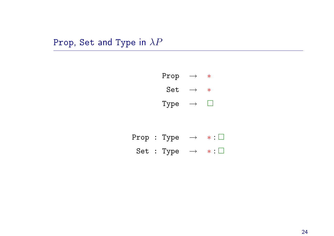# Prop, Set and Type in  $\lambda P$



|  | Prop : Type $\rightarrow$ $*:\Box$ |  |
|--|------------------------------------|--|
|  | Set : Type $\rightarrow$ $*:\Box$  |  |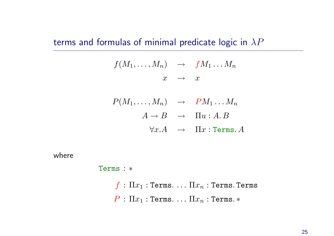terms and formulas of minimal predicate logic in  $\lambda P$ 

$$
f(M_1,\ldots,M_n) \rightarrow fM_1 \ldots M_n
$$
  

$$
x \rightarrow x
$$

$$
P(M_1, ..., M_n) \rightarrow PM_1...M_n
$$
  
\n
$$
A \rightarrow B \rightarrow \Pi u : A.B
$$
  
\n
$$
\forall x.A \rightarrow \Pi x : \text{Terms. } A
$$

where

Terms : <sup>∗</sup>

 $f : \Pi x_1 : \texttt{Terms.} \ldots \Pi x_n : \texttt{Terms.}$  Terms.  $P : \Pi x_1 : \texttt{Terms.} \dots \Pi x_n : \texttt{Terms.} *$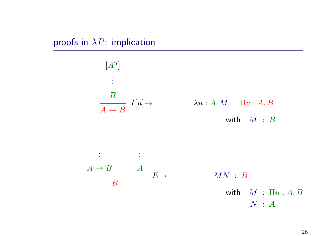proofs in  $\lambda P$ : implication

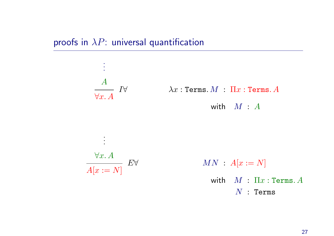proofs in  $\lambda P$ : universal quantification

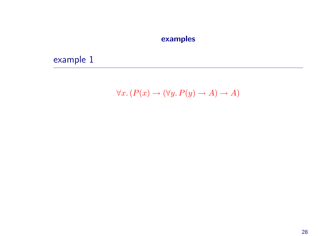### examples

example 1

$$
\forall x. (P(x) \to (\forall y. P(y) \to A) \to A)
$$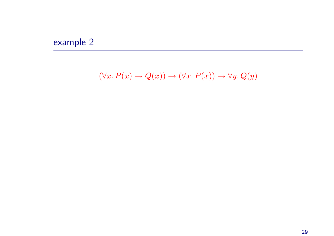# example 2

 $(\forall x. P(x) \rightarrow Q(x)) \rightarrow (\forall x. P(x)) \rightarrow \forall y. Q(y)$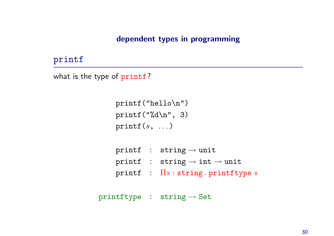### dependent types in programming

### printf

```
what is the type of printf?
```

```
printf("hello\n")
printf('%d\nu', 3)print(s, \ldots)
```

|  | printf : string $\rightarrow$ unit                 |
|--|----------------------------------------------------|
|  | printf : $string \rightarrow int \rightarrow unit$ |
|  | $\texttt{printf}$ : $\Pi s$ : string. printftype s |

```
primitive : string \rightarrow Set
```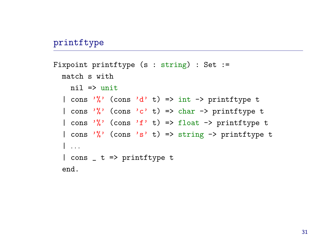### printftype

```
Fixpoint printftype (s : string) : Set :=
  match s with
    ni1 => unit| cons '\' (cons 'd' t) => int -> printftype t
  | cons '\' (cons 'c' t) => char -> printftype t
  | cons '\gamma' (cons 'f' t) => float -> printftype t
  | cons '\gamma' (cons 's' t) => string -> printftype t
  | . . .
  | cons _ t => printftype t
  end.
```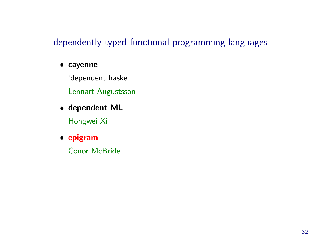# dependently typed functional programming languages

#### • cayenne

'dependent haskell'

Lennart Augustsson

• dependent ML

Hongwei Xi

• epigram

Conor McBride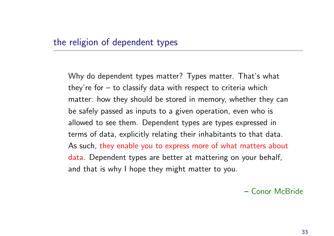### the religion of dependent types

Why do dependent types matter? Types matter. That's what they're for  $-$  to classify data with respect to criteria which matter: how they should be stored in memory, whether they can be safely passed as inputs to <sup>a</sup> given operation, even who is allowed to see them. Dependent types are types expressed in terms of data, explicitly relating their inhabitants to that data. As such, they enable you to express more of what matters about data. Dependent types are better at mattering on your behalf, and that is why I hope they might matter to you.

– Conor McBride